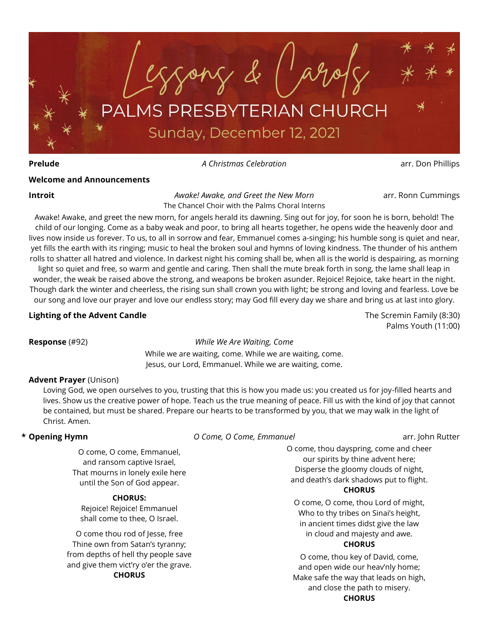

**Prelude** *A Christmas Celebration A Christmas Celebration* **arr. Don Phillips** 

### **Welcome and Announcements**

**Introit Awake!** *Awake! Awake, and Greet the New Morn* **arr. Ronn Cummings** The Chancel Choir with the Palms Choral Interns

Awake! Awake, and greet the new morn, for angels herald its dawning. Sing out for joy, for soon he is born, behold! The child of our longing. Come as a baby weak and poor, to bring all hearts together, he opens wide the heavenly door and lives now inside us forever. To us, to all in sorrow and fear, Emmanuel comes a-singing; his humble song is quiet and near, yet fills the earth with its ringing; music to heal the broken soul and hymns of loving kindness. The thunder of his anthem rolls to shatter all hatred and violence. In darkest night his coming shall be, when all is the world is despairing, as morning light so quiet and free, so warm and gentle and caring. Then shall the mute break forth in song, the lame shall leap in wonder, the weak be raised above the strong, and weapons be broken asunder. Rejoice! Rejoice, take heart in the night. Though dark the winter and cheerless, the rising sun shall crown you with light; be strong and loving and fearless. Love be our song and love our prayer and love our endless story; may God fill every day we share and bring us at last into glory.

# **Lighting of the Advent Candle** The Scremin Family (8:30) **The Scremin Family (8:30)**

Palms Youth (11:00)

### **Response** (#92) *While We Are Waiting, Come*

While we are waiting, come. While we are waiting, come. Jesus, our Lord, Emmanuel. While we are waiting, come.

## **Advent Prayer** (Unison)

Loving God, we open ourselves to you, trusting that this is how you made us: you created us for joy-filled hearts and lives. Show us the creative power of hope. Teach us the true meaning of peace. Fill us with the kind of joy that cannot be contained, but must be shared. Prepare our hearts to be transformed by you, that we may walk in the light of Christ. Amen.

**\* Opening Hymn** *O Come, O Come, Emmanuel* arr. John Rutter

O come, O come, Emmanuel, and ransom captive Israel, That mourns in lonely exile here until the Son of God appear.

### **CHORUS:**

Rejoice! Rejoice! Emmanuel shall come to thee, O Israel.

O come thou rod of Jesse, free Thine own from Satan's tyranny; from depths of hell thy people save and give them vict'ry o'er the grave. **CHORUS**

O come, thou dayspring, come and cheer our spirits by thine advent here; Disperse the gloomy clouds of night, and death's dark shadows put to flight.

### **CHORUS**

O come, O come, thou Lord of might, Who to thy tribes on Sinai's height, in ancient times didst give the law in cloud and majesty and awe.

# **CHORUS**

O come, thou key of David, come, and open wide our heav'nly home; Make safe the way that leads on high, and close the path to misery.

**CHORUS**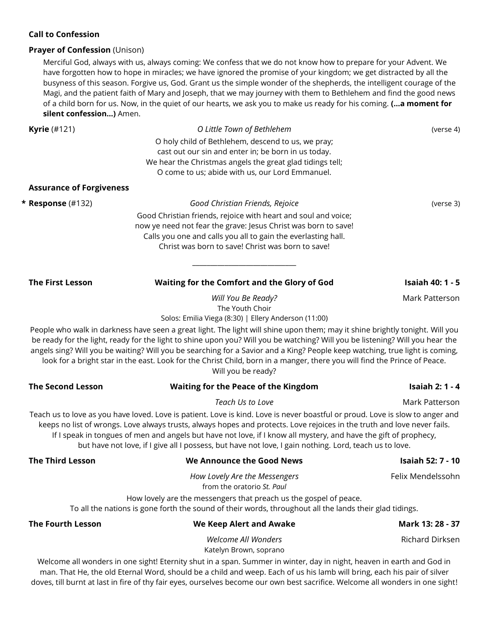### **Call to Confession**

### **Prayer of Confession** (Unison)

Merciful God, always with us, always coming: We confess that we do not know how to prepare for your Advent. We have forgotten how to hope in miracles; we have ignored the promise of your kingdom; we get distracted by all the busyness of this season. Forgive us, God. Grant us the simple wonder of the shepherds, the intelligent courage of the Magi, and the patient faith of Mary and Joseph, that we may journey with them to Bethlehem and find the good news of a child born for us. Now, in the quiet of our hearts, we ask you to make us ready for his coming. **(…a moment for silent confession…)** Amen.

| <b>Kyrie</b> (#121)             | O Little Town of Bethlehem                                     | (verse 4)               |
|---------------------------------|----------------------------------------------------------------|-------------------------|
|                                 | O holy child of Bethlehem, descend to us, we pray;             |                         |
|                                 | cast out our sin and enter in; be born in us today.            |                         |
|                                 | We hear the Christmas angels the great glad tidings tell;      |                         |
|                                 | O come to us; abide with us, our Lord Emmanuel.                |                         |
| <b>Assurance of Forgiveness</b> |                                                                |                         |
| <b>* Response</b> $(\#132)$     | Good Christian Friends, Rejoice                                | (verse 3)               |
|                                 | Good Christian friends, rejoice with heart and soul and voice; |                         |
|                                 | now ye need not fear the grave: Jesus Christ was born to save! |                         |
|                                 | Calls you one and calls you all to gain the everlasting hall.  |                         |
|                                 | Christ was born to save! Christ was born to save!              |                         |
|                                 |                                                                |                         |
| <b>The First Lesson</b>         | Waiting for the Comfort and the Glory of God                   | <b>Isaiah 40: 1 - 5</b> |

*Will You Be Ready?* Mark Patterson The Youth Choir Solos: Emilia Viega (8:30) | Ellery Anderson (11:00)

People who walk in darkness have seen a great light. The light will shine upon them; may it shine brightly tonight. Will you be ready for the light, ready for the light to shine upon you? Will you be watching? Will you be listening? Will you hear the angels sing? Will you be waiting? Will you be searching for a Savior and a King? People keep watching, true light is coming, look for a bright star in the east. Look for the Christ Child, born in a manger, there you will find the Prince of Peace. Will you be ready?

| <b>The Second Lesson</b> | Waiting for the Peace of the Kingdom                                                                                                                                                                                                                                                                                                                                                                                                                                                    | <b>Isaiah 2: 1 - 4</b>   |
|--------------------------|-----------------------------------------------------------------------------------------------------------------------------------------------------------------------------------------------------------------------------------------------------------------------------------------------------------------------------------------------------------------------------------------------------------------------------------------------------------------------------------------|--------------------------|
|                          | Teach Us to Love                                                                                                                                                                                                                                                                                                                                                                                                                                                                        | Mark Patterson           |
|                          | Teach us to love as you have loved. Love is patient. Love is kind. Love is never boastful or proud. Love is slow to anger and<br>keeps no list of wrongs. Love always trusts, always hopes and protects. Love rejoices in the truth and love never fails.<br>If I speak in tongues of men and angels but have not love, if I know all mystery, and have the gift of prophecy,<br>but have not love, if I give all I possess, but have not love, I gain nothing. Lord, teach us to love. |                          |
| <b>The Third Lesson</b>  | We Announce the Good News                                                                                                                                                                                                                                                                                                                                                                                                                                                               | <b>Isaiah 52: 7 - 10</b> |
|                          | How Lovely Are the Messengers<br>from the oratorio St. Paul                                                                                                                                                                                                                                                                                                                                                                                                                             | Felix Mendelssohn        |
|                          | How lovely are the messengers that preach us the gospel of peace.<br>To all the nations is gone forth the sound of their words, throughout all the lands their glad tidings.                                                                                                                                                                                                                                                                                                            |                          |
| <b>The Fourth Lesson</b> | We Keep Alert and Awake                                                                                                                                                                                                                                                                                                                                                                                                                                                                 | Mark 13: 28 - 37         |
|                          | Welcome All Wonders<br>Katelyn Brown, soprano                                                                                                                                                                                                                                                                                                                                                                                                                                           | Richard Dirksen          |
|                          | Welcome all wonders in one sight! Fternity shut in a span. Summer in winter, day in night, heaven in earth and God in                                                                                                                                                                                                                                                                                                                                                                   |                          |

Welcome all wonders in one sight! Eternity shut in a span. Summer in winter, day in night, heaven in earth and God in man. That He, the old Eternal Word, should be a child and weep. Each of us his lamb will bring, each his pair of silver doves, till burnt at last in fire of thy fair eyes, ourselves become our own best sacrifice. Welcome all wonders in one sight!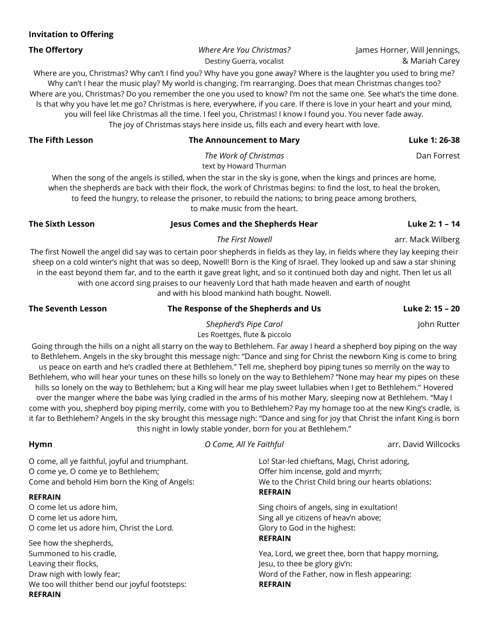### **Invitation to Offering**

**The Offertory** *Where Are You Christmas?* **James Horner, Will Jennings, and the Unit of Are Where Are You Christmas?** Destiny Guerra, vocalist **Burners** & Mariah Carey

Where are you, Christmas? Why can't I find you? Why have you gone away? Where is the laughter you used to bring me? Why can't I hear the music play? My world is changing. I'm rearranging. Does that mean Christmas changes too? Where are you, Christmas? Do you remember the one you used to know? I'm not the same one. See what's the time done. Is that why you have let me go? Christmas is here, everywhere, if you care. If there is love in your heart and your mind, you will feel like Christmas all the time. I feel you, Christmas! I know I found you. You never fade away. The joy of Christmas stays here inside us, fills each and every heart with love.

| <b>The Fifth Lesson</b> |  |
|-------------------------|--|
|-------------------------|--|

# **The Announcement to Mary Luke 1: 26-38**

**The Work of Christmas Dan Forrest** text by Howard Thurman

When the song of the angels is stilled, when the star in the sky is gone, when the kings and princes are home, when the shepherds are back with their flock, the work of Christmas begins: to find the lost, to heal the broken, to feed the hungry, to release the prisoner, to rebuild the nations; to bring peace among brothers, to make music from the heart.

### **The Sixth Lesson Jesus Comes and the Shepherds Hear Luke 2: 1 – 14**

The first Nowell the angel did say was to certain poor shepherds in fields as they lay, in fields where they lay keeping their sheep on a cold winter's night that was so deep, Nowell! Born is the King of Israel. They looked up and saw a star shining in the east beyond them far, and to the earth it gave great light, and so it continued both day and night. Then let us all with one accord sing praises to our heavenly Lord that hath made heaven and earth of nought and with his blood mankind hath bought. Nowell.

**The Seventh Lesson The Response of the Shepherds and Us Luke 2: 15 – 20**

**Shepherd's Pipe Carol John Rutter** 

Les Roettges, flute & piccolo

Going through the hills on a night all starry on the way to Bethlehem. Far away I heard a shepherd boy piping on the way to Bethlehem. Angels in the sky brought this message nigh: "Dance and sing for Christ the newborn King is come to bring us peace on earth and he's cradled there at Bethlehem." Tell me, shepherd boy piping tunes so merrily on the way to Bethlehem, who will hear your tunes on these hills so lonely on the way to Bethlehem? "None may hear my pipes on these hills so lonely on the way to Bethlehem; but a King will hear me play sweet lullabies when I get to Bethlehem." Hovered over the manger where the babe was lying cradled in the arms of his mother Mary, sleeping now at Bethlehem. "May I come with you, shepherd boy piping merrily, come with you to Bethlehem? Pay my homage too at the new King's cradle, is it far to Bethlehem? Angels in the sky brought this message nigh: "Dance and sing for joy that Christ the infant King is born this night in lowly stable yonder, born for you at Bethlehem."

| <b>Hymn</b>                                     | O Come, All Ye Faithful                    | arr. David Willcocks                               |  |
|-------------------------------------------------|--------------------------------------------|----------------------------------------------------|--|
| O come, all ye faithful, joyful and triumphant. |                                            | Lo! Star-led chieftans, Magi, Christ adoring,      |  |
| O come ye, O come ye to Bethlehem;              | Offer him incense, gold and myrrh;         |                                                    |  |
| Come and behold Him born the King of Angels:    |                                            | We to the Christ Child bring our hearts oblations: |  |
| <b>REFRAIN</b>                                  | <b>REFRAIN</b>                             |                                                    |  |
| O come let us adore him,                        | Sing choirs of angels, sing in exultation! |                                                    |  |
| O come let us adore him,                        | Sing all ye citizens of heav'n above;      |                                                    |  |
| O come let us adore him, Christ the Lord.       |                                            | Glory to God in the highest:<br><b>REFRAIN</b>     |  |
| See how the shepherds,                          |                                            |                                                    |  |
| Summoned to his cradle,                         |                                            | Yea, Lord, we greet thee, born that happy morning, |  |
| Leaving their flocks,                           | Jesu, to thee be glory giv'n:              |                                                    |  |
| Draw nigh with lowly fear;                      |                                            | Word of the Father, now in flesh appearing:        |  |
| We too will thither bend our joyful footsteps:  | <b>REFRAIN</b>                             |                                                    |  |

We too will thither bend our joyful footsteps:

**REFRAIN**

*The First Nowell* **arr. Mack Wilberg**